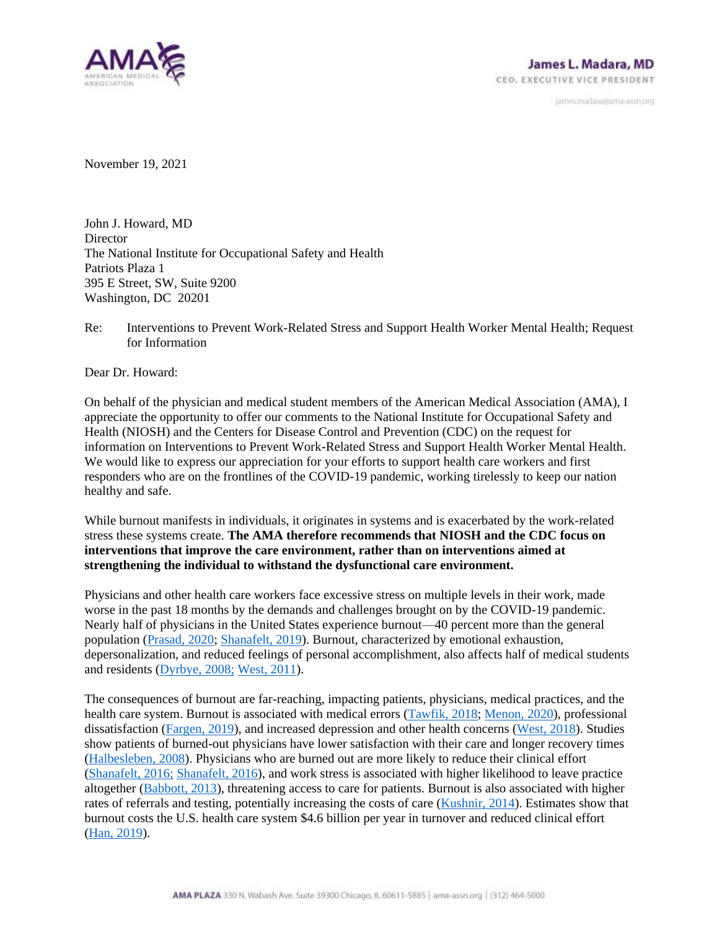

janves.madara@ama-assn.org

November 19, 2021

John J. Howard, MD **Director** The National Institute for Occupational Safety and Health Patriots Plaza 1 395 E Street, SW, Suite 9200 Washington, DC 20201

Re: Interventions to Prevent Work-Related Stress and Support Health Worker Mental Health; Request for Information

Dear Dr. Howard:

On behalf of the physician and medical student members of the American Medical Association (AMA), I appreciate the opportunity to offer our comments to the National Institute for Occupational Safety and Health (NIOSH) and the Centers for Disease Control and Prevention (CDC) on the request for information on Interventions to Prevent Work-Related Stress and Support Health Worker Mental Health. We would like to express our appreciation for your efforts to support health care workers and first responders who are on the frontlines of the COVID-19 pandemic, working tirelessly to keep our nation healthy and safe.

While burnout manifests in individuals, it originates in systems and is exacerbated by the work-related stress these systems create. **The AMA therefore recommends that NIOSH and the CDC focus on interventions that improve the care environment, rather than on interventions aimed at strengthening the individual to withstand the dysfunctional care environment.** 

Physicians and other health care workers face excessive stress on multiple levels in their work, made worse in the past 18 months by the demands and challenges brought on by the COVID-19 pandemic. Nearly half of physicians in the United States experience burnout—40 percent more than the general population [\(Prasad, 2020; Shanafelt, 2019\)](https://www.sciencedirect.com/science/article/pii/S2589537021001590). Burnout, characterized by emotional exhaustion, depersonalization, and reduced feelings of personal accomplishment, also affects half of medical students and residents [\(Dyrbye, 2008;](https://pubmed.ncbi.nlm.nih.gov/18765703/) [West, 2011\)](https://pubmed.ncbi.nlm.nih.gov/21900135/).

The consequences of burnout are far-reaching, impacting patients, physicians, medical practices, and the health care system. Burnout is associated with medical errors [\(Tawfik, 2018;](https://www.sciencedirect.com/science/article/abs/pii/S0025619618303720) [Menon, 2020\)](https://jamanetwork.com/journals/jamanetworkopen/fullarticle/2773831), professional dissatisfaction [\(Fargen, 2019\)](https://jnis.bmj.com/content/11/11/1100.abstract), and increased depression and other health concerns [\(West, 2018\)](https://onlinelibrary.wiley.com/doi/full/10.1111/joim.12752). Studies show patients of burned-out physicians have lower satisfaction with their care and longer recovery times [\(Halbesleben, 2008\)](https://pubmed.ncbi.nlm.nih.gov/18091442/). Physicians who are burned out are more likely to reduce their clinical effort [\(Shanafelt, 2016;](https://www.mayoclinicproceedings.org/article/S0025-6196(16)30508-0/fulltext) [Shanafelt, 2016\)](https://pubmed.ncbi.nlm.nih.gov/27046522/), and work stress is associated with higher likelihood to leave practice altogether [\(Babbott, 2013\)](https://pubmed.ncbi.nlm.nih.gov/24005796/), threatening access to care for patients. Burnout is also associated with higher rates of referrals and testing, potentially increasing the costs of care [\(Kushnir, 2014\)](https://pubmed.ncbi.nlm.nih.gov/24148815/). Estimates show that burnout costs the U.S. health care system \$4.6 billion per year in turnover and reduced clinical effort [\(Han, 2019\)](https://www.acpjournals.org/doi/10.7326/M18-1422).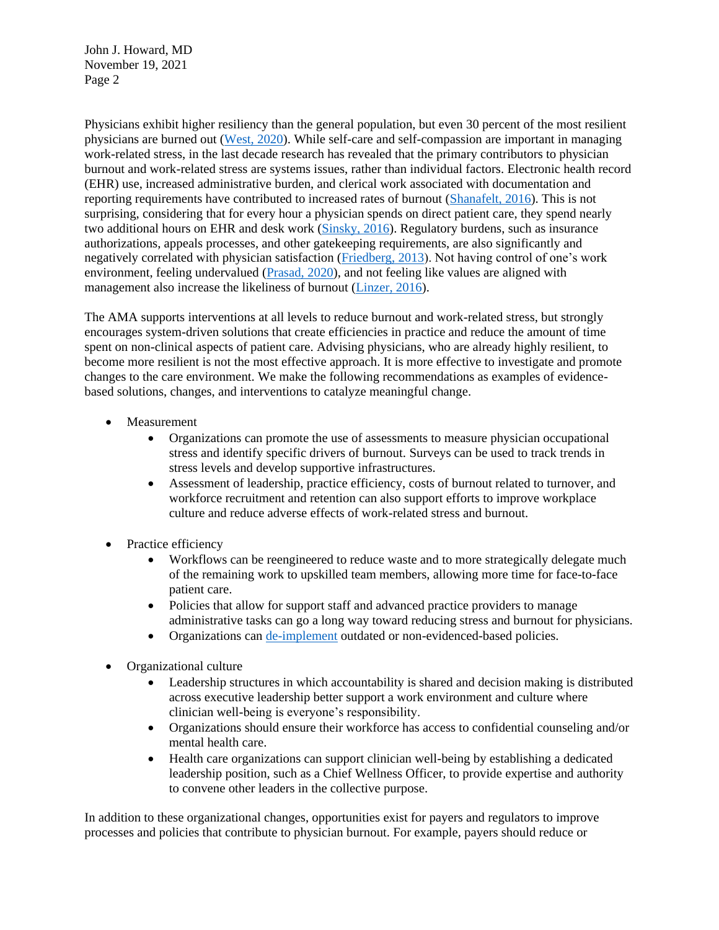John J. Howard, MD November 19, 2021 Page 2

Physicians exhibit higher resiliency than the general population, but even 30 percent of the most resilient physicians are burned out [\(West, 2020\)](https://jamanetwork.com/journals/jamanetworkopen/fullarticle/2767829). While self-care and self-compassion are important in managing work-related stress, in the last decade research has revealed that the primary contributors to physician burnout and work-related stress are systems issues, rather than individual factors. Electronic health record (EHR) use, increased administrative burden, and clerical work associated with documentation and reporting requirements have contributed to increased rates of burnout [\(Shanafelt, 2016\)](https://pubmed.ncbi.nlm.nih.gov/27313121/). This is not surprising, considering that for every hour a physician spends on direct patient care, they spend nearly two additional hours on EHR and desk work [\(Sinsky, 2016\)](https://pubmed.ncbi.nlm.nih.gov/27595430/). Regulatory burdens, such as insurance authorizations, appeals processes, and other gatekeeping requirements, are also significantly and negatively correlated with physician satisfaction [\(Friedberg, 2013\)](https://www.rand.org/pubs/research_reports/RR439.html). Not having control of one's work environment, feeling undervalued [\(Prasad, 2020\)](https://www.sciencedirect.com/science/article/pii/S2589537021001590), and not feeling like values are aligned with management also increase the likeliness of burnout [\(Linzer, 2016\)](https://pubmed.ncbi.nlm.nih.gov/27138425/).

The AMA supports interventions at all levels to reduce burnout and work-related stress, but strongly encourages system-driven solutions that create efficiencies in practice and reduce the amount of time spent on non-clinical aspects of patient care. Advising physicians, who are already highly resilient, to become more resilient is not the most effective approach. It is more effective to investigate and promote changes to the care environment. We make the following recommendations as examples of evidencebased solutions, changes, and interventions to catalyze meaningful change.

- Measurement
	- Organizations can promote the use of assessments to measure physician occupational stress and identify specific drivers of burnout. Surveys can be used to track trends in stress levels and develop supportive infrastructures.
	- Assessment of leadership, practice efficiency, costs of burnout related to turnover, and workforce recruitment and retention can also support efforts to improve workplace culture and reduce adverse effects of work-related stress and burnout.
- Practice efficiency
	- Workflows can be reengineered to reduce waste and to more strategically delegate much of the remaining work to upskilled team members, allowing more time for face-to-face patient care.
	- Policies that allow for support staff and advanced practice providers to manage administrative tasks can go a long way toward reducing stress and burnout for physicians.
	- Organizations can [de-implement](https://www.ama-assn.org/system/files/2021-02/de-implementation-checklist.pdf) outdated or non-evidenced-based policies.
- Organizational culture
	- Leadership structures in which accountability is shared and decision making is distributed across executive leadership better support a work environment and culture where clinician well-being is everyone's responsibility.
	- Organizations should ensure their workforce has access to confidential counseling and/or mental health care.
	- Health care organizations can support clinician well-being by establishing a dedicated leadership position, such as a Chief Wellness Officer, to provide expertise and authority to convene other leaders in the collective purpose.

In addition to these organizational changes, opportunities exist for payers and regulators to improve processes and policies that contribute to physician burnout. For example, payers should reduce or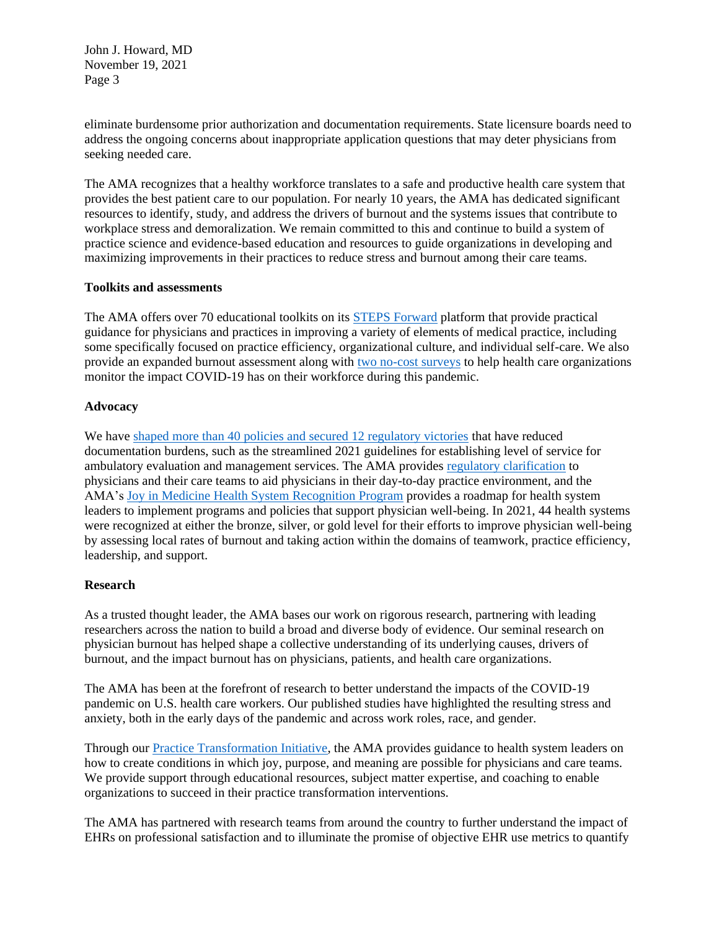John J. Howard, MD November 19, 2021 Page 3

eliminate burdensome prior authorization and documentation requirements. State licensure boards need to address the ongoing concerns about inappropriate application questions that may deter physicians from seeking needed care.

The AMA recognizes that a healthy workforce translates to a safe and productive health care system that provides the best patient care to our population. For nearly 10 years, the AMA has dedicated significant resources to identify, study, and address the drivers of burnout and the systems issues that contribute to workplace stress and demoralization. We remain committed to this and continue to build a system of practice science and evidence-based education and resources to guide organizations in developing and maximizing improvements in their practices to reduce stress and burnout among their care teams.

## **Toolkits and assessments**

The AMA offers over 70 educational toolkits on its [STEPS Forward](https://www.ama-assn.org/search?search=STEPS+Forward) platform that provide practical guidance for physicians and practices in improving a variety of elements of medical practice, including some specifically focused on practice efficiency, organizational culture, and individual self-care. We also provide an expanded burnout assessment along with [two no-cost surveys](https://clinician.health/) to help health care organizations monitor the impact COVID-19 has on their workforce during this pandemic.

## **Advocacy**

We have [shaped more than 40 policies and secured 12 regulatory victories](https://www.ama-assn.org/practice-management/physician-health/ama-spurs-movement-fight-key-causes-physician-burnout) that have reduced documentation burdens, such as the streamlined 2021 guidelines for establishing level of service for ambulatory evaluation and management services. The AMA provides [regulatory clarification](https://www.ama-assn.org/amaone/debunking-regulatory-myths) to physicians and their care teams to aid physicians in their day-to-day practice environment, and the AMA's [Joy in Medicine Health System Recognition Program](https://www.ama-assn.org/practice-management/sustainability/joy-medicine-health-system-recognition-program) provides a roadmap for health system leaders to implement programs and policies that support physician well-being. In 2021, 44 health systems were recognized at either the bronze, silver, or gold level for their efforts to improve physician well-being by assessing local rates of burnout and taking action within the domains of teamwork, practice efficiency, leadership, and support.

## **Research**

As a trusted thought leader, the AMA bases our work on rigorous research, partnering with leading researchers across the nation to build a broad and diverse body of evidence. Our seminal research on physician burnout has helped shape a collective understanding of its underlying causes, drivers of burnout, and the impact burnout has on physicians, patients, and health care organizations.

The AMA has been at the forefront of research to better understand the impacts of the COVID-19 pandemic on U.S. health care workers. Our published studies have highlighted the resulting stress and anxiety, both in the early days of the pandemic and across work roles, race, and gender.

Through our [Practice Transformation Initiative,](https://www.ama-assn.org/practice-management/sustainability/practice-transformation) the AMA provides guidance to health system leaders on how to create conditions in which joy, purpose, and meaning are possible for physicians and care teams. We provide support through educational resources, subject matter expertise, and coaching to enable organizations to succeed in their practice transformation interventions.

The AMA has partnered with research teams from around the country to further understand the impact of EHRs on professional satisfaction and to illuminate the promise of objective EHR use metrics to quantify